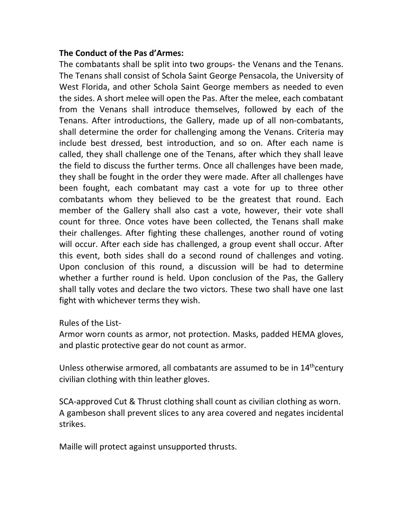## **The Conduct of the Pas d'Armes:**

The combatants shall be split into two groups- the Venans and the Tenans. The Tenans shall consist of Schola Saint George Pensacola, the University of West Florida, and other Schola Saint George members as needed to even the sides. A short melee will open the Pas. After the melee, each combatant from the Venans shall introduce themselves, followed by each of the Tenans. After introductions, the Gallery, made up of all non-combatants, shall determine the order for challenging among the Venans. Criteria may include best dressed, best introduction, and so on. After each name is called, they shall challenge one of the Tenans, after which they shall leave the field to discuss the further terms. Once all challenges have been made, they shall be fought in the order they were made. After all challenges have been fought, each combatant may cast a vote for up to three other combatants whom they believed to be the greatest that round. Each member of the Gallery shall also cast a vote, however, their vote shall count for three. Once votes have been collected, the Tenans shall make their challenges. After fighting these challenges, another round of voting will occur. After each side has challenged, a group event shall occur. After this event, both sides shall do a second round of challenges and voting. Upon conclusion of this round, a discussion will be had to determine whether a further round is held. Upon conclusion of the Pas, the Gallery shall tally votes and declare the two victors. These two shall have one last fight with whichever terms they wish.

Rules of the List-

Armor worn counts as armor, not protection. Masks, padded HEMA gloves, and plastic protective gear do not count as armor.

Unless otherwise armored, all combatants are assumed to be in 14<sup>th</sup>century civilian clothing with thin leather gloves.

SCA-approved Cut & Thrust clothing shall count as civilian clothing as worn. A gambeson shall prevent slices to any area covered and negates incidental strikes.

Maille will protect against unsupported thrusts.